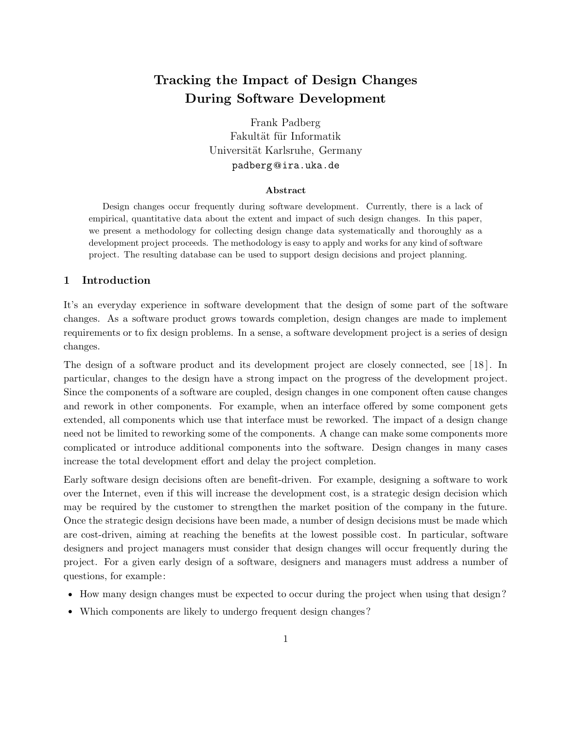# **Tracking the Impact of Design Changes During Software Development**

Frank Padberg Fakultät für Informatik Universität Karlsruhe, Germany padberg**@**ira.uka.de

#### Abstract

Design changes occur frequently during software development. Currently, there is a lack of empirical, quantitative data about the extent and impact of such design changes. In this paper, we present a methodology for collecting design change data systematically and thoroughly as a development project proceeds. The methodology is easy to apply and works for any kind of software project. The resulting database can be used to support design decisions and project planning.

# **1 Introduction**

It's an everyday experience in software development that the design of some part of the software changes. As a software product grows towards completion, design changes are made to implement requirements or to fix design problems. In a sense, a software development project is a series of design changes.

The design of a software product and its development project are closely connected, see [ 18 ]. In particular, changes to the design have a strong impact on the progress of the development project. Since the components of a software are coupled, design changes in one component often cause changes and rework in other components. For example, when an interface offered by some component gets extended, all components which use that interface must be reworked. The impact of a design change need not be limited to reworking some of the components. A change can make some components more complicated or introduce additional components into the software. Design changes in many cases increase the total development effort and delay the project completion.

Early software design decisions often are benefit-driven. For example, designing a software to work over the Internet, even if this will increase the development cost, is a strategic design decision which may be required by the customer to strengthen the market position of the company in the future. Once the strategic design decisions have been made, a number of design decisions must be made which are cost-driven, aiming at reaching the benefits at the lowest possible cost. In particular, software designers and project managers must consider that design changes will occur frequently during the project. For a given early design of a software, designers and managers must address a number of questions, for example:

- How many design changes must be expected to occur during the project when using that design?
- Which components are likely to undergo frequent design changes?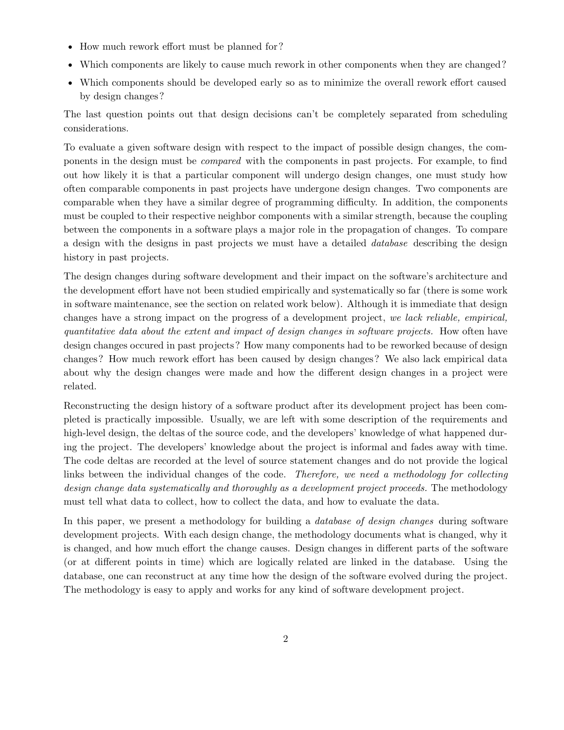- How much rework effort must be planned for?
- Which components are likely to cause much rework in other components when they are changed?
- Which components should be developed early so as to minimize the overall rework effort caused by design changes?

The last question points out that design decisions can't be completely separated from scheduling considerations.

To evaluate a given software design with respect to the impact of possible design changes, the components in the design must be *compared* with the components in past projects. For example, to find out how likely it is that a particular component will undergo design changes, one must study how often comparable components in past projects have undergone design changes. Two components are comparable when they have a similar degree of programming difficulty. In addition, the components must be coupled to their respective neighbor components with a similar strength, because the coupling between the components in a software plays a major role in the propagation of changes. To compare a design with the designs in past projects we must have a detailed *database* describing the design history in past projects.

The design changes during software development and their impact on the software's architecture and the development effort have not been studied empirically and systematically so far (there is some work in software maintenance, see the section on related work below). Although it is immediate that design changes have a strong impact on the progress of a development project, *we lack reliable, empirical, quantitative data about the extent and impact of design changes in software projects.* How often have design changes occured in past projects? How many components had to be reworked because of design changes? How much rework effort has been caused by design changes? We also lack empirical data about why the design changes were made and how the different design changes in a project were related.

Reconstructing the design history of a software product after its development project has been completed is practically impossible. Usually, we are left with some description of the requirements and high-level design, the deltas of the source code, and the developers' knowledge of what happened during the project. The developers' knowledge about the project is informal and fades away with time. The code deltas are recorded at the level of source statement changes and do not provide the logical links between the individual changes of the code. *Therefore, we need a methodology for collecting design change data systematically and thoroughly as a development project proceeds.* The methodology must tell what data to collect, how to collect the data, and how to evaluate the data.

In this paper, we present a methodology for building a *database of design changes* during software development projects. With each design change, the methodology documents what is changed, why it is changed, and how much effort the change causes. Design changes in different parts of the software (or at different points in time) which are logically related are linked in the database. Using the database, one can reconstruct at any time how the design of the software evolved during the project. The methodology is easy to apply and works for any kind of software development project.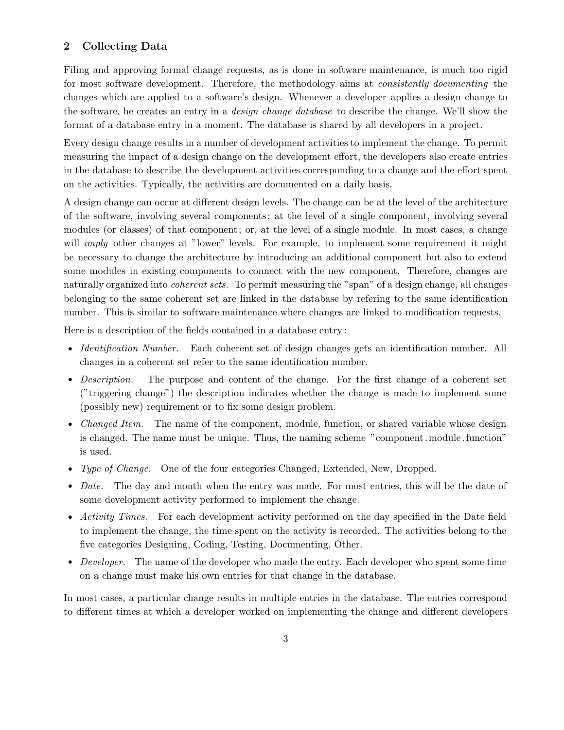## **2 Collecting Data**

Filing and approving formal change requests, as is done in software maintenance, is much too rigid for most software development. Therefore, the methodology aims at *consistently documenting* the changes which are applied to a software's design. Whenever a developer applies a design change to the software, he creates an entry in a *design change database* to describe the change. We'll show the format of a database entry in a moment. The database is shared by all developers in a project.

Every design change results in a number of development activities to implement the change. To permit measuring the impact of a design change on the development effort, the developers also create entries in the database to describe the development activities corresponding to a change and the effort spent on the activities. Typically, the activities are documented on a daily basis.

A design change can occur at different design levels. The change can be at the level of the architecture of the software, involving several components; at the level of a single component, involving several modules (or classes) of that component; or, at the level of a single module. In most cases, a change will *imply* other changes at "lower" levels. For example, to implement some requirement it might be necessary to change the architecture by introducing an additional component but also to extend some modules in existing components to connect with the new component. Therefore, changes are naturally organized into *coherent sets.* To permit measuring the "span" of a design change, all changes belonging to the same coherent set are linked in the database by refering to the same identification number. This is similar to software maintenance where changes are linked to modification requests.

Here is a description of the fields contained in a database entry :

- *Identification Number.* Each coherent set of design changes gets an identification number. All changes in a coherent set refer to the same identification number.
- *Description.* The purpose and content of the change. For the first change of a coherent set ("triggering change") the description indicates whether the change is made to implement some (possibly new) requirement or to fix some design problem.
- *Changed Item.* The name of the component, module, function, or shared variable whose design is changed. The name must be unique. Thus, the naming scheme "component.module. function" is used.
- *• Type of Change.* One of the four categories Changed, Extended, New, Dropped.
- *Date.* The day and month when the entry was made. For most entries, this will be the date of some development activity performed to implement the change.
- *Activity Times.* For each development activity performed on the day specified in the Date field to implement the change, the time spent on the activity is recorded. The activities belong to the five categories Designing, Coding, Testing, Documenting, Other.
- *Developer.* The name of the developer who made the entry. Each developer who spent some time on a change must make his own entries for that change in the database.

In most cases, a particular change results in multiple entries in the database. The entries correspond to different times at which a developer worked on implementing the change and different developers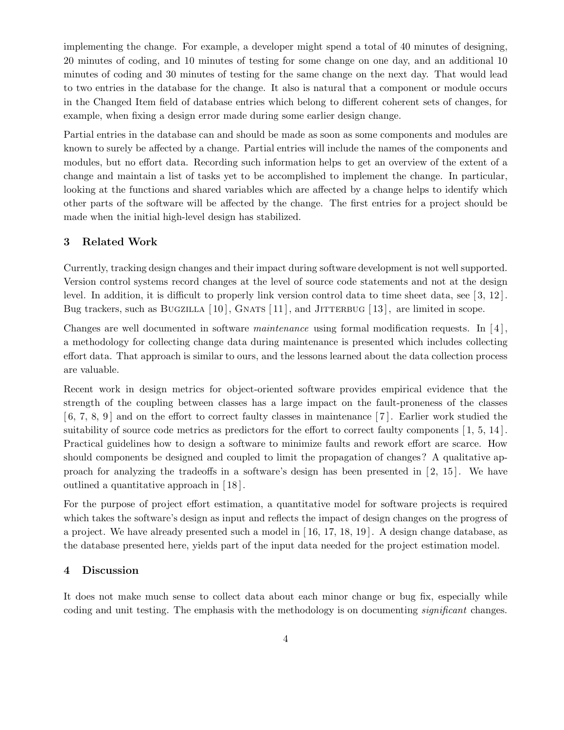implementing the change. For example, a developer might spend a total of 40 minutes of designing, 20 minutes of coding, and 10 minutes of testing for some change on one day, and an additional 10 minutes of coding and 30 minutes of testing for the same change on the next day. That would lead to two entries in the database for the change. It also is natural that a component or module occurs in the Changed Item field of database entries which belong to different coherent sets of changes, for example, when fixing a design error made during some earlier design change.

Partial entries in the database can and should be made as soon as some components and modules are known to surely be affected by a change. Partial entries will include the names of the components and modules, but no effort data. Recording such information helps to get an overview of the extent of a change and maintain a list of tasks yet to be accomplished to implement the change. In particular, looking at the functions and shared variables which are affected by a change helps to identify which other parts of the software will be affected by the change. The first entries for a project should be made when the initial high-level design has stabilized.

#### **3 Related Work**

Currently, tracking design changes and their impact during software development is not well supported. Version control systems record changes at the level of source code statements and not at the design level. In addition, it is difficult to properly link version control data to time sheet data, see  $[3, 12]$ . Bug trackers, such as BUGZILLA  $[10]$ , GNATS  $[11]$ , and JITTERBUG  $[13]$ , are limited in scope.

Changes are well documented in software *maintenance* using formal modification requests. In [ 4 ], a methodology for collecting change data during maintenance is presented which includes collecting effort data. That approach is similar to ours, and the lessons learned about the data collection process are valuable.

Recent work in design metrics for object-oriented software provides empirical evidence that the strength of the coupling between classes has a large impact on the fault-proneness of the classes  $[6, 7, 8, 9]$  and on the effort to correct faulty classes in maintenance  $[7]$ . Earlier work studied the suitability of source code metrics as predictors for the effort to correct faulty components [1, 5, 14]. Practical guidelines how to design a software to minimize faults and rework effort are scarce. How should components be designed and coupled to limit the propagation of changes? A qualitative approach for analyzing the tradeoffs in a software's design has been presented in  $[2, 15]$ . We have outlined a quantitative approach in [ 18 ].

For the purpose of project effort estimation, a quantitative model for software projects is required which takes the software's design as input and reflects the impact of design changes on the progress of a project. We have already presented such a model in [ 16, 17, 18, 19 ]. A design change database, as the database presented here, yields part of the input data needed for the project estimation model.

#### **4 Discussion**

It does not make much sense to collect data about each minor change or bug fix, especially while coding and unit testing. The emphasis with the methodology is on documenting *significant* changes.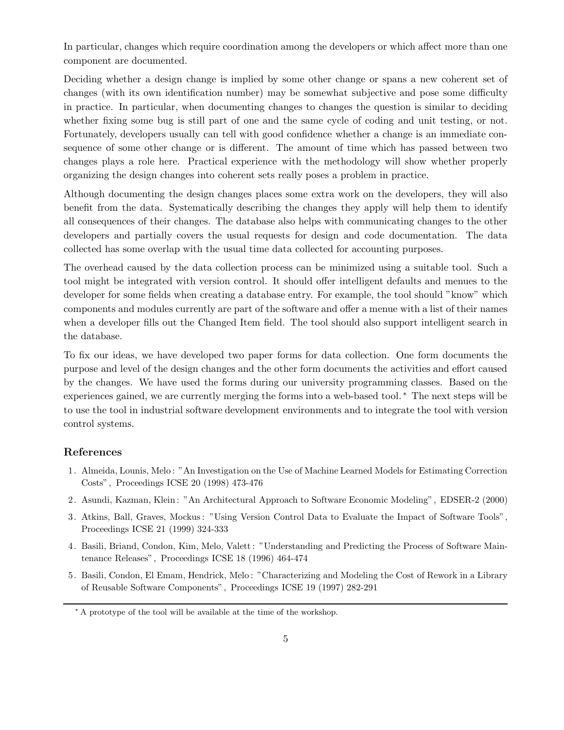In particular, changes which require coordination among the developers or which affect more than one component are documented.

Deciding whether a design change is implied by some other change or spans a new coherent set of changes (with its own identification number) may be somewhat subjective and pose some difficulty in practice. In particular, when documenting changes to changes the question is similar to deciding whether fixing some bug is still part of one and the same cycle of coding and unit testing, or not. Fortunately, developers usually can tell with good confidence whether a change is an immediate consequence of some other change or is different. The amount of time which has passed between two changes plays a role here. Practical experience with the methodology will show whether properly organizing the design changes into coherent sets really poses a problem in practice.

Although documenting the design changes places some extra work on the developers, they will also benefit from the data. Systematically describing the changes they apply will help them to identify all consequences of their changes. The database also helps with communicating changes to the other developers and partially covers the usual requests for design and code documentation. The data collected has some overlap with the usual time data collected for accounting purposes.

The overhead caused by the data collection process can be minimized using a suitable tool. Such a tool might be integrated with version control. It should offer intelligent defaults and menues to the developer for some fields when creating a database entry. For example, the tool should "know" which components and modules currently are part of the software and offer a menue with a list of their names when a developer fills out the Changed Item field. The tool should also support intelligent search in the database.

To fix our ideas, we have developed two paper forms for data collection. One form documents the purpose and level of the design changes and the other form documents the activities and effort caused by the changes. We have used the forms during our university programming classes. Based on the experiences gained, we are currently merging the forms into a web-based tool. ∗ The next steps will be to use the tool in industrial software development environments and to integrate the tool with version control systems.

### **References**

- 1. Almeida, Lounis, Melo : "An Investigation on the Use of Machine Learned Models for Estimating Correction Costs", Proceedings ICSE 20 (1998) 473-476
- 2. Asundi, Kazman, Klein : "An Architectural Approach to Software Economic Modeling", EDSER-2 (2000)
- 3. Atkins, Ball, Graves, Mockus : "Using Version Control Data to Evaluate the Impact of Software Tools", Proceedings ICSE 21 (1999) 324-333
- 4. Basili, Briand, Condon, Kim, Melo, Valett : "Understanding and Predicting the Process of Software Maintenance Releases", Proceedings ICSE 18 (1996) 464-474
- 5. Basili, Condon, El Emam, Hendrick, Melo : "Characterizing and Modeling the Cost of Rework in a Library of Reusable Software Components", Proceedings ICSE 19 (1997) 282-291

<sup>∗</sup> A prototype of the tool will be available at the time of the workshop.